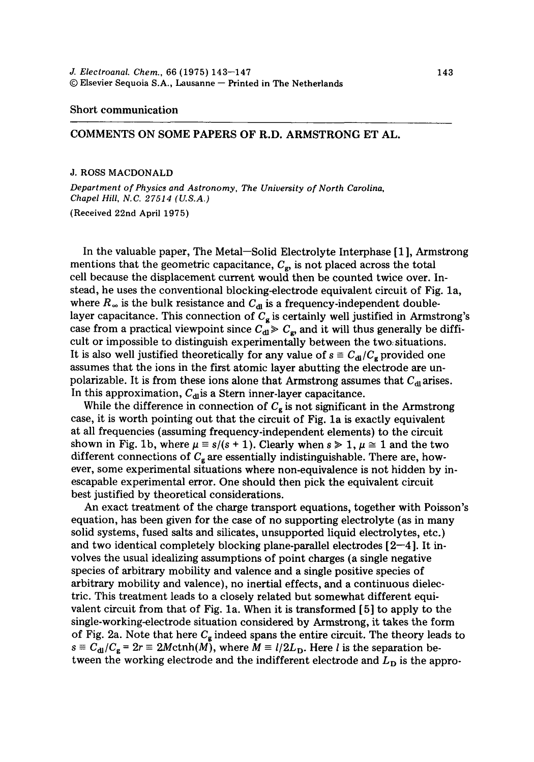## Short communication

## COMMENTS ON SOME PAPERS OF R.D. ARMSTRONG ET AL.

## J. ROSS MACDONALD

*Department of Physics and Astronomy, The University of North Carolina, Chapel Hill, N.C. 27514 (U.S.A.)* 

(Received 22nd April 1975)

In the valuable paper, The Metal-Solid Electrolyte Interphase [1], Armstrong mentions that the geometric capacitance,  $C_{\epsilon}$ , is not placed across the total cell because the displacement current would then be counted twice over. Instead, he uses the conventional blocking-electrode equivalent circuit of Fig. la, where  $R_{\infty}$  is the bulk resistance and  $C_{\rm dl}$  is a frequency-independent doublelayer capacitance. This connection of  $C<sub>g</sub>$  is certainly well justified in Armstrong's case from a practical viewpoint since  $C_{\mathbf{d}} \geq C_{\mathbf{g}}$ , and it will thus generally be difficult or impossible to distinguish experimentally between the two, situations. It is also well justified theoretically for any value of  $s \equiv C_{d}/C_g$  provided one assumes that the ions in the first atomic layer abutting the electrode are unpolarizable. It is from these ions alone that Armstrong assumes that  $C_{\rm dl}$  arises. In this approximation,  $C_{\text{dl}}$  is a Stern inner-layer capacitance.

While the difference in connection of  $C_{\mathbf{g}}$  is not significant in the Armstrong case, it is worth pointing out that the circuit of Fig. la is exactly equivalent at all frequencies (assuming frequency-independent elements) to the circuit shown in Fig. 1b, where  $\mu \equiv s/(s + 1)$ . Clearly when  $s \ge 1$ ,  $\mu \approx 1$  and the two different connections of  $C_g$  are essentially indistinguishable. There are, however, some experimental situations where non-equivalence is not hidden by inescapable experimental error. One should then pick the equivalent circuit best justified by theoretical considerations.

An exact treatment of the charge transport equations, together with Poisson's equation, has been given for the case of no supporting electrolyte (as in many solid systems, fused salts and silicates, unsupported liquid electrolytes, etc.) and two identical completely blocking plane-parallel electrodes  $[2-4]$ . It involves the usual idealizing assumptions of point charges (a single negative species of arbitrary mobility and valence and a single positive species of arbitrary mobility and valence), no inertial effects, and a continuous dielectric. This treatment leads to a closely related but somewhat different equivalent circuit from that of Fig. la. When it is transformed [5] to apply to the single-working-electrode situation considered by Armstrong, it takes the form of Fig. 2a. Note that here  $C_{\rm g}$  indeed spans the entire circuit. The theory leads to  $s \equiv C_{\rm dl}/C_{\rm g} = 2r \equiv 2M \text{ctnh}(M)$ , where  $M \equiv l/2L_{\rm D}$ . Here *l* is the separation between the working electrode and the indifferent electrode and  $L<sub>D</sub>$  is the appro-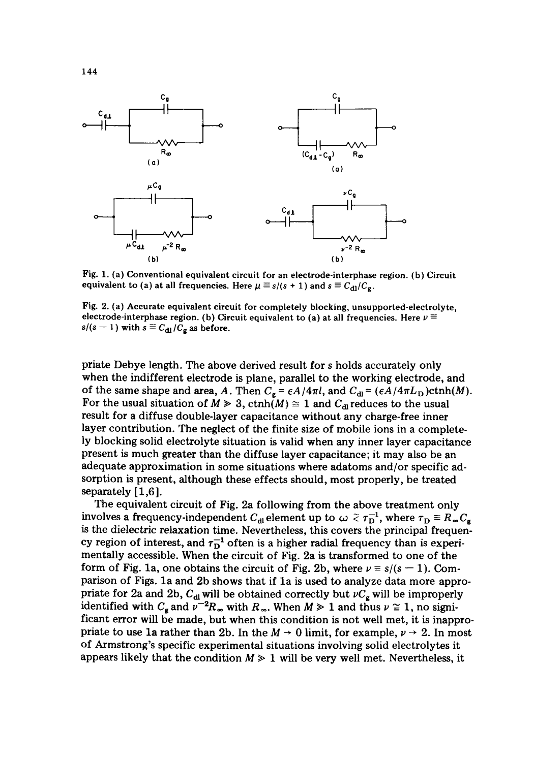

Fig. 1. (a) Conventional equivalent circuit for an electrode-interphase region. (b) **Circuit**  equivalent to (a) at all frequencies. Here  $\mu \equiv s/(s + 1)$  and  $s \equiv C_{d1}/C_{g}$ .

Fig. 2. (a) Accurate **equivalent circuit** for completely blocking, unsupported-electrolyte, electrode-interphase region. (b) Circuit equivalent to (a) at all frequencies. Here  $\nu \equiv$  $s/(s-1)$  with  $s \equiv C_{d1}/C_g$  as before.

priate Debye length. The above derived result for s holds accurately only when the indifferent electrode is plane, parallel to the working electrode, and of the same shape and area, A. Then  $C_g = \epsilon A/4\pi l$ , and  $C_{dl} = (\epsilon A/4\pi L_D) \text{cth}(M)$ . For the usual situation of  $M \ge 3$ , ctnh(M)  $\cong$  1 and  $C_{dI}$  reduces to the usual result for a diffuse double-layer capacitance without any charge-free inner layer contribution. The neglect of the finite size of mobile ions in a completely blocking solid electrolyte situation is valid when any inner layer capacitance present is much greater than the diffuse layer capacitance; it may also be an adequate approximation in some situations where adatoms and/or specific adsorption is present, although these effects should, most properly, be treated separately [1,6].

The equivalent circuit of Fig. 2a following from the above treatment only involves a frequency-independent  $C_{d\mu}$  element up to  $\omega \tilde{\prec} \tau_D^{-1}$ , where  $\tau_D \equiv R_{\infty} C_g$ is the dielectric relaxation time. Nevertheless, this covers the principal frequency region of interest, and  $\tau_D^{-1}$  often is a higher radial frequency than is experimentally accessible. When the circuit of Fig. 2a is transformed to one of the form of Fig. 1a, one obtains the circuit of Fig. 2b, where  $\nu \equiv s/(s - 1)$ . Comparison of Figs. la and 2b shows that if la is used to analyze data more appropriate for 2a and 2b,  $C_{d}$  will be obtained correctly but  $\nu C_g$  will be improperly identified with  $C_{\rm g}$  and  $\bar{\nu}^{-2}R_{\infty}$  with  $R_{\infty}$ . When  $M \ge 1$  and thus  $\nu \cong 1$ , no significant error will be made, but when this condition is not well met, it is inappropriate to use 1a rather than 2b. In the  $M \rightarrow 0$  limit, for example,  $\nu \rightarrow 2$ . In most of Armstrong's specific experimental situations involving solid electrolytes it appears likely that the condition  $M \geq 1$  will be very well met. Nevertheless, it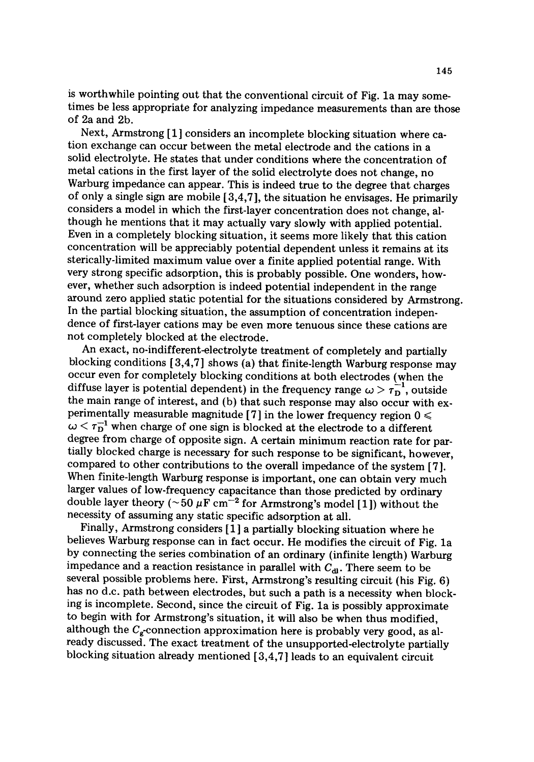is worthwhile pointing out that the conventional circuit of Fig. la may sometimes be less appropriate for analyzing impedance measurements than are those of 2a and 2b.

Next, Armstrong [1] considers an incomplete blocking situation where cation exchange can occur between the metal electrode and the cations in a solid electrolyte. He states that under conditions where the concentration of metal cations in the first layer of the solid electrolyte does not change, no Warburg impedance can appear. This is indeed true to the degree that charges of only a single sign are mobile  $[3,4,7]$ , the situation he envisages. He primarily considers a model in which the first-layer concentration does not change, although he mentions that it may actually vary slowly with applied potential. Even in a completely blocking situation, it seems more likely that this cation concentration will be appreciably potential dependent unless it remains at its sterically-limited maximum value over a finite applied potential range. With very strong specific adsorption, this is probably possible. One wonders, however, whether such adsorption is indeed potential independent in the range around zero applied static potential for the situations considered by Armstrong. In the partial blocking situation, the assumption of concentration independence of first-layer cations may be even more tenuous since these cations are not completely blocked at the electrode.

An exact, no-indifferent-electrolyte treatment of completely and partially blocking conditions [ 3,4,7 ] shows (a) that finite-length Warburg response may occur even for completely blocking conditions at both electrodes (when the diffuse layer is potential dependent) in the frequency range  $\omega > \tau_D^{-1}$ , outside the main range of interest, and (b) that such response may also occur with experimentally measurable magnitude [7] in the lower frequency region  $0 \le$  $\omega < \tau_D^{-1}$  when charge of one sign is blocked at the electrode to a different degree from charge of opposite sign. A certain minimum reaction rate for partially blocked charge is necessary for such response to be significant, however, compared to other contributions to the overall impedance of the system [7]. When finite-length Warburg response is important, one can obtain very much larger values of low-frequency capacitance than those predicted by ordinary double layer theory ( $\sim 50 \mu$ F cm<sup>-2</sup> for Armstrong's model [1]) without the necessity of assuming any static specific adsorption at all.

Finally, Armstrong considers [1 ] a partially blocking situation where he believes Warburg response can in fact occur. He modifies the circuit of Fig. la by connecting the series combination of an ordinary (infinite length) Warburg impedance and a reaction resistance in parallel with  $C_{d\text{u}}$ . There seem to be several possible problems here. First, Armstrong's resulting circuit (his Fig. 6) has no d.c. path between electrodes, but such a path is a necessity when blocking is incomplete. Second, since the circuit of Fig. la is possibly approximate to begin with for Armstrong's situation, it will also be when thus modified, although the  $C_{g}$ -connection approximation here is probably very good, as already discussed. The exact treatment of the unsupported-electrolyte partially blocking situation already mentioned [3,4,7] leads to an equivalent circuit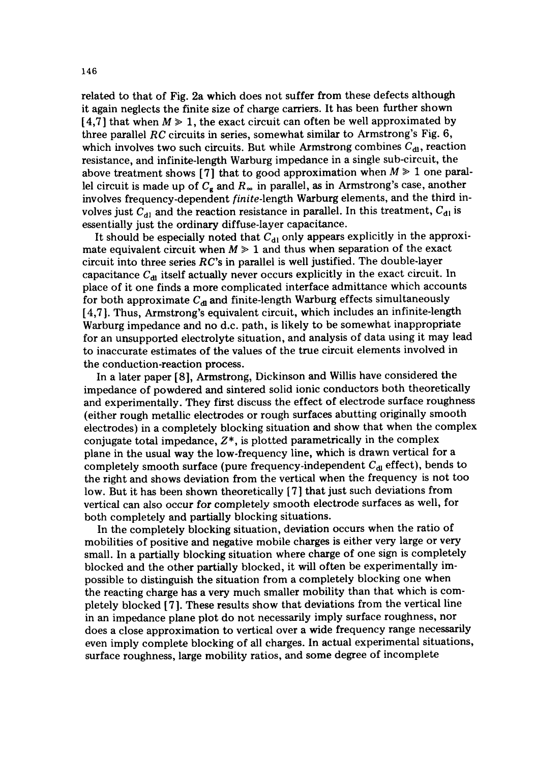related to that of Fig. 2a which does not suffer from these defects although it again neglects the finite size of charge carriers. It has been further shown [4,7] that when  $M \ge 1$ , the exact circuit can often be well approximated by three parallel *RC* circuits in series, somewhat similar to Armstrong's Fig. 6, which involves two such circuits. But while Armstrong combines  $C_{d_l}$ , reaction resistance, and infinite-length Warburg impedance in a single sub-circuit, the above treatment shows [7] that to good approximation when  $M \geq 1$  one parallel circuit is made up of  $C_{g}$  and  $R_{\infty}$  in parallel, as in Armstrong's case, another involves frequency-dependent *finite-length* Warburg elements, and the third involves just  $C_{d}$  and the reaction resistance in parallel. In this treatment,  $C_{d}$  is essentially just the ordinary diffuse-layer capacitance.

It should be especially noted that  $C_{d1}$  only appears explicitly in the approximate equivalent circuit when  $M \geq 1$  and thus when separation of the exact circuit into three series *RC's* in parallel is well justified. The double-layer capacitance  $C_{\rm dl}$  itself actually never occurs explicitly in the exact circuit. In place of it one finds a more complicated interface admittance which accounts for both approximate  $C_{dI}$  and finite-length Warburg effects simultaneously [4,7 ]. Thus, Armstrong's equivalent circuit, which includes an infinite-length Warburg impedance and no d.c. path, is likely to be somewhat inappropriate for an unsupported electrolyte situation, and analysis of data using it may lead to inaccurate estimates of the values of the true circuit elements involved in the conduction-reaction process.

In a later paper [8], Armstrong, Dickinson and Willis have considered the impedance of powdered and sintered solid ionic conductors both theoretically and experimentally. They first discuss the effect of electrode surface roughness (either rough metallic electrodes or rough surfaces abutting originally smooth electrodes) in a completely blocking situation and show that when the complex conjugate total impedance,  $Z^*$ , is plotted parametrically in the complex plane in the usual way the low-frequency line, which is drawn vertical for a completely smooth surface (pure frequency-independent  $C_{\rm dl}$  effect), bends to the right and shows deviation from the vertical when the frequency is not too low. But it has been shown theoretically [7] that just such deviations from vertical can also occur for completely smooth electrode surfaces as well, for both completely and partially blocking situations.

In the completely blocking situation, deviation occurs when the ratio of mobilities of positive and negative mobile charges is either very large or very small. In a partially blocking situation where charge of one sign is completely blocked and the other partially blocked, it will often be experimentally impossible to distinguish the situation from a completely blocking one when the reacting charge has a very much smaller mobility than that which is completely blocked [7]. These results show that deviations from the vertical line in an impedance plane plot do not necessarily imply surface roughness, nor does a close approximation to vertical over a wide frequency range necessarily even imply complete blocking of all charges. In actual experimental situations, surface roughness, large mobility ratios, and some degree of incomplete